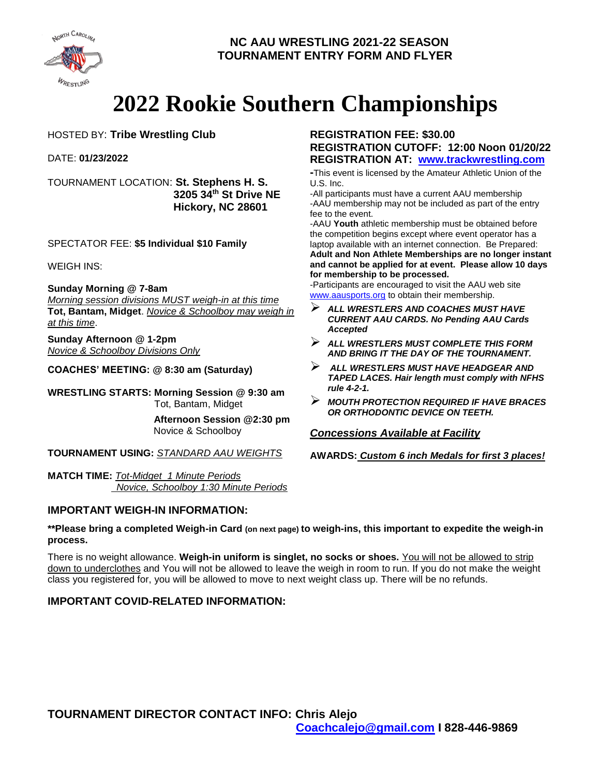

# **2022 Rookie Southern Championships**

HOSTED BY: **Tribe Wrestling Club**

DATE: **01/23/2022**

TOURNAMENT LOCATION: **St. Stephens H. S. 3205 34th St Drive NE Hickory, NC 28601**

SPECTATOR FEE: **\$5 Individual \$10 Family**

WEIGH INS:

**Sunday Morning @ 7-8am**

*Morning session divisions MUST weigh-in at this time* **Tot, Bantam, Midget**. *Novice & Schoolboy may weigh in at this time*.

**Sunday Afternoon @ 1-2pm** *Novice & Schoolboy Divisions Only*

**COACHES' MEETING: @ 8:30 am (Saturday)**

**WRESTLING STARTS: Morning Session @ 9:30 am** Tot, Bantam, Midget

> **Afternoon Session @2:30 pm**  Novice & Schoolboy

**TOURNAMENT USING:** *STANDARD AAU WEIGHTS*

**MATCH TIME:** *Tot-Midget 1 Minute Periods Novice, Schoolboy 1:30 Minute Periods*

### **IMPORTANT WEIGH-IN INFORMATION:**

#### **REGISTRATION FEE: \$30.00 REGISTRATION CUTOFF: 12:00 Noon 01/20/22 REGISTRATION AT: [www.trackwrestling.com](http://www.trackwrestling.com/)**

**-**This event is licensed by the Amateur Athletic Union of the U.S. Inc.

-All participants must have a current AAU membership -AAU membership may not be included as part of the entry fee to the event.

-AAU **Youth** athletic membership must be obtained before the competition begins except where event operator has a laptop available with an internet connection. Be Prepared: **Adult and Non Athlete Memberships are no longer instant and cannot be applied for at event. Please allow 10 days for membership to be processed.**

-Participants are encouraged to visit the AAU web site [www.aausports.org](http://www.aausports.org/) to obtain their membership.

- *ALL WRESTLERS AND COACHES MUST HAVE CURRENT AAU CARDS. No Pending AAU Cards Accepted*
- *ALL WRESTLERS MUST COMPLETE THIS FORM AND BRING IT THE DAY OF THE TOURNAMENT.*
- *ALL WRESTLERS MUST HAVE HEADGEAR AND TAPED LACES. Hair length must comply with NFHS rule 4-2-1.*
- *MOUTH PROTECTION REQUIRED IF HAVE BRACES OR ORTHODONTIC DEVICE ON TEETH.*

*Concessions Available at Facility*

**AWARDS:** *Custom 6 inch Medals for first 3 places!*

**\*\*Please bring a completed Weigh-in Card (on next page) to weigh-ins, this important to expedite the weigh-in process.** 

There is no weight allowance. **Weigh-in uniform is singlet, no socks or shoes.** You will not be allowed to strip down to underclothes and You will not be allowed to leave the weigh in room to run. If you do not make the weight class you registered for, you will be allowed to move to next weight class up. There will be no refunds.

### **IMPORTANT COVID-RELATED INFORMATION:**